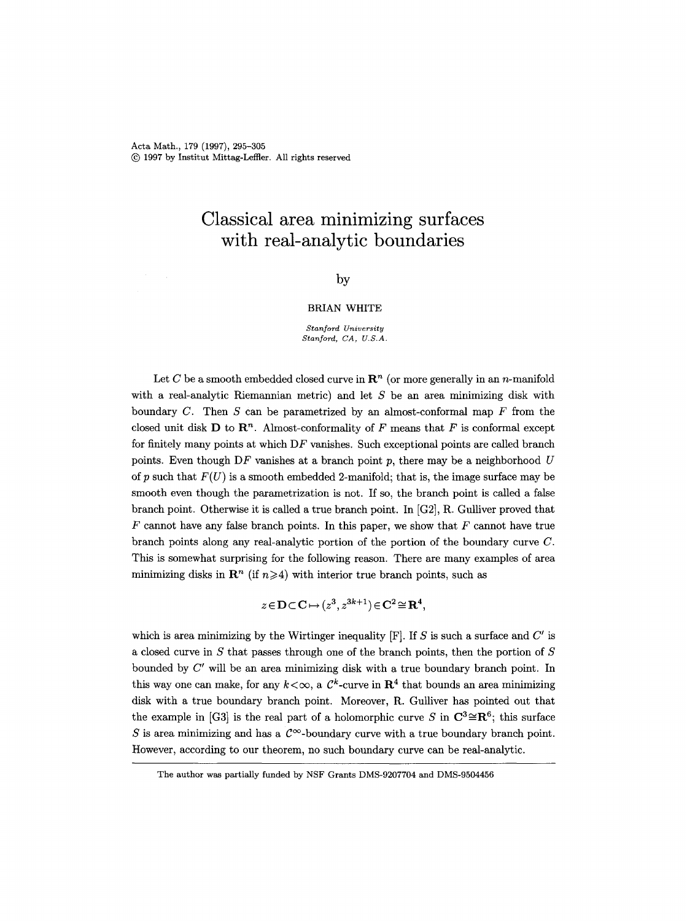Acta Math., 179 (1997), 295-305 (~) 1997 by Institut Mittag-Leffler. All rights reserved

# **Classical area minimizing surfaces with real-analytic boundaries**

# by

### BRIAN WHITE

*Stanford University Stanford, CA, U.S.A.* 

Let C be a smooth embedded closed curve in  $\mathbb{R}^n$  (or more generally in an n-manifold with a real-analytic Riemannian metric) and let  $S$  be an area minimizing disk with boundary  $C$ . Then  $S$  can be parametrized by an almost-conformal map  $F$  from the closed unit disk **D** to  $\mathbb{R}^n$ . Almost-conformality of F means that F is conformal except for finitely many points at which DF vanishes. Such exceptional points are called branch points. Even though DF vanishes at a branch point p, there may be a neighborhood  $U$ of p such that  $F(U)$  is a smooth embedded 2-manifold; that is, the image surface may be smooth even though the parametrization is not. If so, the branch point is called a false branch point. Otherwise it is called a true branch point. In [G2], R. Gulliver proved that  $F$  cannot have any false branch points. In this paper, we show that  $F$  cannot have true branch points along any real-analytic portion of the portion of the boundary curve C. This is somewhat surprising for the following reason. There are many examples of area minimizing disks in  $\mathbb{R}^n$  (if  $n \geq 4$ ) with interior true branch points, such as

$$
z \in \mathbf{D} \subset \mathbf{C} \mapsto (z^3, z^{3k+1}) \in \mathbf{C}^2 \cong \mathbf{R}^4,
$$

which is area minimizing by the Wirtinger inequality  $[F]$ . If S is such a surface and  $C'$  is a closed curve in  $S$  that passes through one of the branch points, then the portion of  $S$ bounded by  $C'$  will be an area minimizing disk with a true boundary branch point. In this way one can make, for any  $k < \infty$ , a  $\mathcal{C}^k$ -curve in  $\mathbb{R}^4$  that bounds an area minimizing disk with a true boundary branch point. Moreover, R. Gulliver has pointed out that the example in [G3] is the real part of a holomorphic curve S in  $\mathbb{C}^3 \cong \mathbb{R}^6$ ; this surface S is area minimizing and has a  $\mathcal{C}^{\infty}$ -boundary curve with a true boundary branch point. However, according to our theorem, no such boundary curve can be real-analytic.

The author was partially funded by NSF Grants DMS-9207704 and DMS-9504456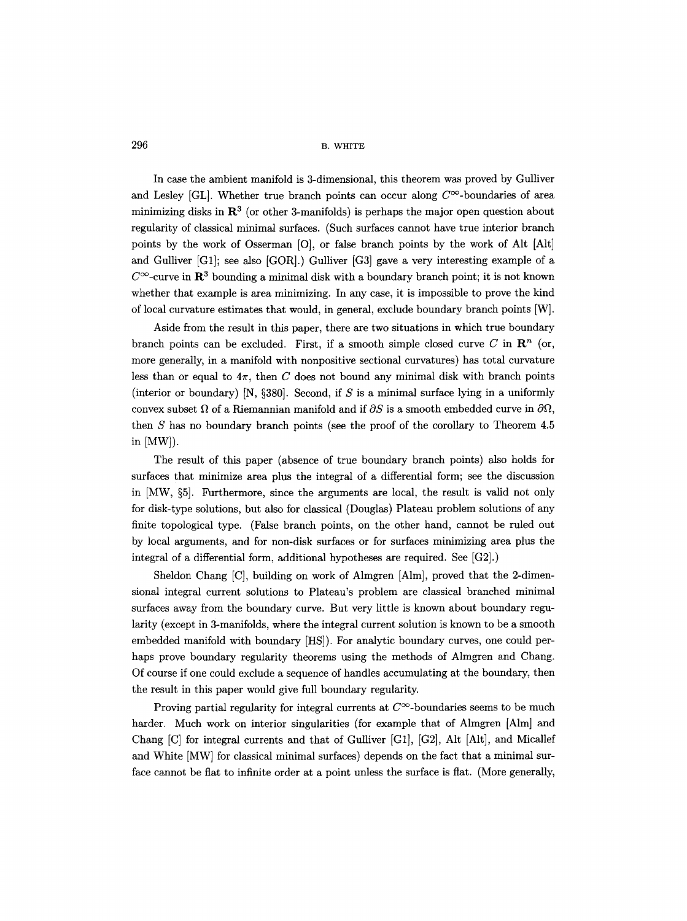In case the ambient manifold is 3-dimensional, this theorem was proved by Gulliver and Lesley [GL]. Whether true branch points can occur along  $C^{\infty}$ -boundaries of area minimizing disks in  $\mathbb{R}^3$  (or other 3-manifolds) is perhaps the major open question about regularity of classical minimal surfaces. (Such surfaces cannot have true interior branch points by the work of Osserman [O], or false branch points by the work of Alt [Alt] and Gulliver [G1]; see also [GOR].) Gulliver [G3] gave a very interesting example of a  $C^{\infty}$ -curve in  $\mathbb{R}^3$  bounding a minimal disk with a boundary branch point; it is not known whether that example is area minimizing. In any case, it is impossible to prove the kind of local curvature estimates that would, in general, exclude boundary branch points [W].

Aside from the result in this paper, there are two situations in which true boundary branch points can be excluded. First, if a smooth simple closed curve C in  $\mathbb{R}^n$  (or, more generally, in a manifold with nonpositive sectional curvatures) has total curvature less than or equal to  $4\pi$ , then C does not bound any minimal disk with branch points (interior or boundary) [N,  $\S 380$ ]. Second, if S is a minimal surface lying in a uniformly convex subset  $\Omega$  of a Riemannian manifold and if  $\partial S$  is a smooth embedded curve in  $\partial \Omega$ , then S has no boundary branch points (see the proof of the corollary to Theorem 4.5 in [MW]).

The result of this paper (absence of true boundary branch points) also holds for surfaces that minimize area plus the integral of a differential form; see the discussion in  $[MW, §5]$ . Furthermore, since the arguments are local, the result is valid not only for disk-type solutions, but also for classical (Douglas) Plateau problem solutions of any finite topological type. (False branch points, on the other hand, cannot be ruled out by local arguments, and for non-disk surfaces or for surfaces minimizing area plus the integral of a differential form, additional hypotheses are required. See [G2].)

Sheldon Chang [C], building on work of Almgren [Alm], proved that the 2-dimensional integral current solutions to Plateau's problem are classical branched minimal surfaces away from the boundary curve. But very little is known about boundary regularity (except in 3-manifolds, where the integral current solution is known to be a smooth embedded manifold with boundary [HS]). For analytic boundary curves, one could perhaps prove boundary regularity theorems using the methods of Almgren and Chang. Of course if one could exclude a sequence of handles accumulating at the boundary, then the result in this paper would give full boundary regularity.

Proving partial regularity for integral currents at  $C^{\infty}$ -boundaries seems to be much harder. Much work on interior singularities (for example that of Almgren [Alm] and Chang [C] for integral currents and that of Gulliver [G1], [G2], Alt [Alt], and Micallef and White [MW] for classical minimal surfaces) depends on the fact that a minimal surface cannot be flat to infinite order at a point unless the surface is flat. (More generally,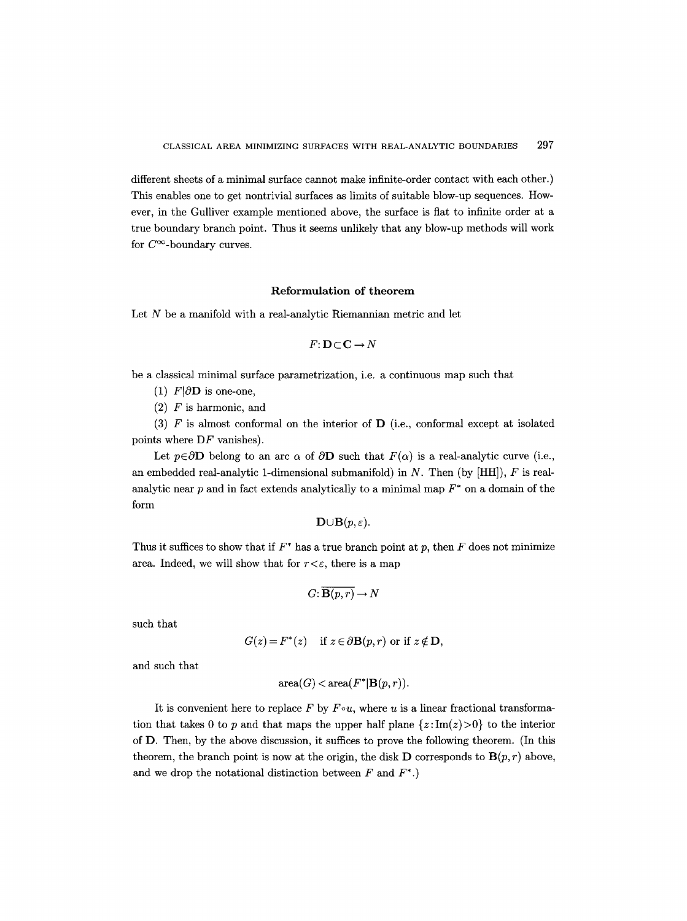different sheets of a minimal surface cannot make infinite-order contact with each other.) This enables one to get nontrivial surfaces as limits of suitable blow-up sequences. However, in the Gulliver example mentioned above, the surface is fiat to infinite order at a true boundary branch point. Thus it seems unlikely that any blow-up methods will work for  $C^{\infty}$ -boundary curves.

# **Reformulation of theorem**

Let  $N$  be a manifold with a real-analytic Riemannian metric and let

$$
F\colon\mathbf{D}\subset\mathbf{C}\to N
$$

be a classical minimal surface parametrization, i.e. a continuous map such that

- (1)  $F|\partial D$  is one-one,
- $(2)$  F is harmonic, and

(3)  $F$  is almost conformal on the interior of  $D$  (i.e., conformal except at isolated points where DF vanishes).

Let  $p \in \partial$ **D** belong to an arc  $\alpha$  of  $\partial$ **D** such that  $F(\alpha)$  is a real-analytic curve (i.e., an embedded real-analytic 1-dimensional submanifold) in N. Then (by  $[HH]$ ), F is realanalytic near  $p$  and in fact extends analytically to a minimal map  $F^*$  on a domain of the form

$$
\mathbf{D}\!\cup\!\mathbf{B}(p,\varepsilon).
$$

Thus it suffices to show that if  $F^*$  has a true branch point at p, then F does not minimize area. Indeed, we will show that for  $r < \varepsilon$ , there is a map

$$
G: \overline{\mathbf{B}(p,r)} \to N
$$

such that

$$
G(z) = F^*(z)
$$
 if  $z \in \partial \mathbf{B}(p, r)$  or if  $z \notin \mathbf{D}$ ,

and such that

$$
\text{area}(G) < \text{area}(F^*|\mathbf{B}(p,r)).
$$

It is convenient here to replace F by  $F \circ u$ , where u is a linear fractional transformation that takes 0 to p and that maps the upper half plane  $\{z: \text{Im}(z)>0\}$  to the interior of D. Then, by the above discussion, it suffices to prove the following theorem. (In this theorem, the branch point is now at the origin, the disk **D** corresponds to  $\mathbf{B}(p,r)$  above, and we drop the notational distinction between  $F$  and  $F^*$ .)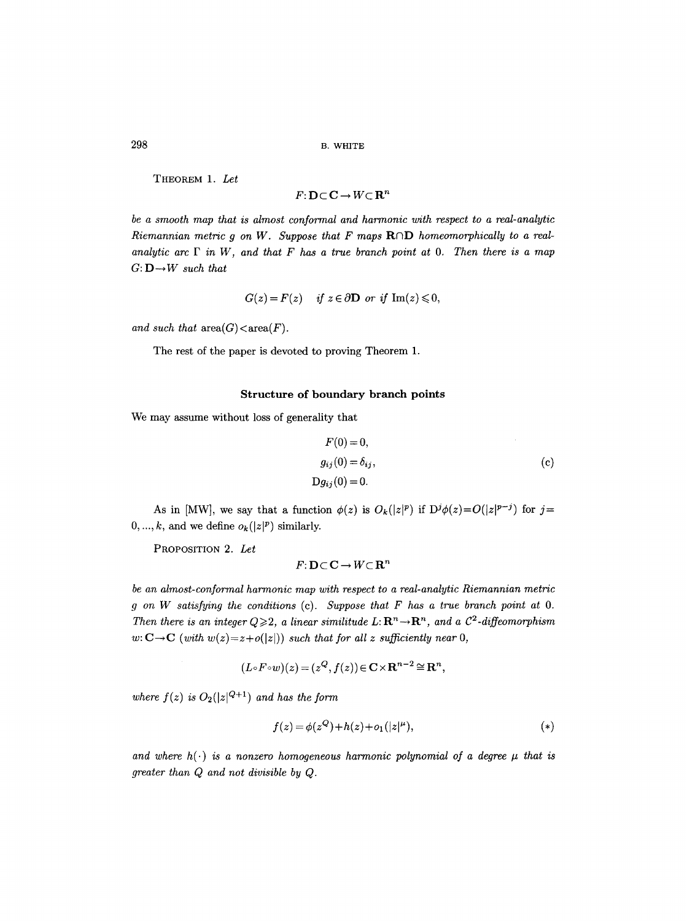THEOREM 1. *Let* 

 $F: D \subset C \rightarrow W \subset \mathbf{R}^n$ 

*be a smooth map that is almost conformal and harmonic with respect to a real-analytic Riemannian metric q on W. Suppose that F maps ROD homeomorphically to a realanalytic arc F in W, and that F has a true branch point at O. Then there is a map G: D-~ W such that* 

$$
G(z) = F(z) \quad \text{if } z \in \partial \mathbf{D} \text{ or if } \operatorname{Im}(z) \leq 0,
$$

*and such that*  $area(G) < area(F)$ *.* 

The rest of the paper is devoted to proving Theorem 1.

#### Structure of boundary branch points

We may assume without loss of generality that

$$
F(0) = 0,
$$
  
\n
$$
g_{ij}(0) = \delta_{ij},
$$
  
\n
$$
Dg_{ij}(0) = 0.
$$
  
\n(c)

As in [MW], we say that a function  $\phi(z)$  is  $O_k(|z|^p)$  if  $D^j\phi(z) = O(|z|^{p-j})$  for  $j=$  $0, ..., k$ , and we define  $o_k(|z|^p)$  similarly.

PROPOSITION 2. *Let* 

$$
F: \mathbf{D} \subset \mathbf{C} \to W \subset \mathbf{R}^n
$$

*be an almost-conformal harmonic map with respect to a real-analytic Riemannian metric g on W satisfying the conditions* (c). *Suppose that F has a true branch point at O. Then there is an integer*  $Q \geqslant 2$ *, a linear similitude L:*  $\mathbb{R}^n \rightarrow \mathbb{R}^n$ *, and a C*<sup>2</sup>-diffeomorphism  $w: \mathbf{C} \to \mathbf{C}$  *(with*  $w(z) = z + o(|z|)$ *) such that for all z sufficiently near 0,* 

$$
(L\circ F\circ w)(z)=(z^Q,f(z))\in\mathbf{C}\times\mathbf{R}^{n-2}\cong\mathbf{R}^n,
$$

where  $f(z)$  is  $O_2(|z|^{Q+1})$  and has the form

$$
f(z) = \phi(z^Q) + h(z) + o_1(|z|^\mu),
$$
\n(\*)

and where  $h(\cdot)$  is a nonzero homogeneous harmonic polynomial of a degree  $\mu$  that is *greater than Q and not divisible by Q.*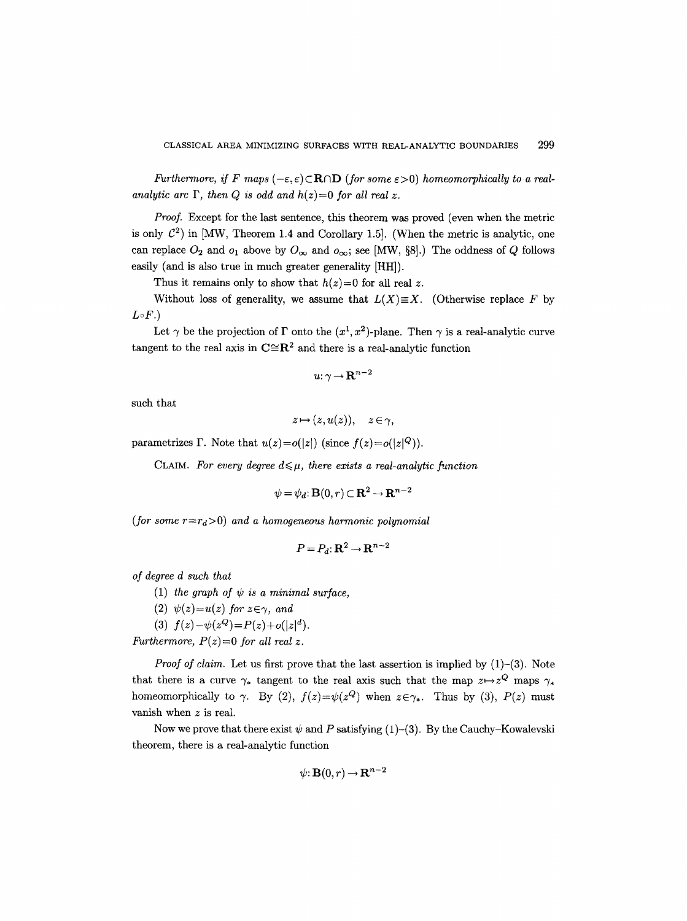*Furthermore, if F* maps  $(-\varepsilon, \varepsilon) \subset \mathbb{R} \cap \mathbb{D}$  (for some  $\varepsilon > 0$ ) homeomorphically to a real*analytic arc*  $\Gamma$ *, then Q is odd and h(z)=0 for all real z.* 

*Proof.* Except for the last sentence, this theorem was proved (even when the metric is only  $\mathcal{C}^2$ ) in [MW, Theorem 1.4 and Corollary 1.5]. (When the metric is analytic, one can replace  $O_2$  and  $o_1$  above by  $O_{\infty}$  and  $o_{\infty}$ ; see [MW, §8].) The oddness of Q follows easily (and is also true in much greater generality [HH]).

Thus it remains only to show that  $h(z)=0$  for all real z.

Without loss of generality, we assume that  $L(X) \equiv X$ . (Otherwise replace F by  $L \circ F.$ 

Let  $\gamma$  be the projection of  $\Gamma$  onto the  $(x^1, x^2)$ -plane. Then  $\gamma$  is a real-analytic curve tangent to the real axis in  $\mathbb{C} \cong \mathbb{R}^2$  and there is a real-analytic function

$$
u\!:\!\gamma\!\rightarrow\!{\bf R}^{n-2}
$$

such that

$$
z\!\mapsto\! (z,u(z)),\quad z\!\in\!\gamma,
$$

parametrizes  $\Gamma$ . Note that  $u(z) = o(|z|)$  (since  $f(z) = o(|z|^Q)$ ).

CLAIM. For every degree  $d \leq \mu$ , there exists a real-analytic function

$$
\psi = \psi_d \colon \mathbf{B}(0, r) \subset \mathbf{R}^2 \to \mathbf{R}^{n-2}
$$

*(for some*  $r=r_d>0$ *) and a homogeneous harmonic polynomial* 

$$
P = P_d: \mathbf{R}^2 \to \mathbf{R}^{n-2}
$$

*of degree d such that* 

- (1) the graph of  $\psi$  is a minimal surface,
- (2)  $\psi(z) = u(z)$  for  $z \in \gamma$ , and

(3)  $f(z) - \psi(z^Q) = P(z) + o(|z|^d)$ .

*Furthermore,*  $P(z)=0$  *for all real z.* 

*Proof of claim.* Let us first prove that the last assertion is implied by (1)-(3). Note that there is a curve  $\gamma_*$  tangent to the real axis such that the map  $z \mapsto z^Q$  maps  $\gamma_*$ homeomorphically to  $\gamma$ . By (2),  $f(z)=\psi(z^Q)$  when  $z\in\gamma_*$ . Thus by (3),  $P(z)$  must vanish when z is real.

Now we prove that there exist  $\psi$  and P satisfying (1)-(3). By the Cauchy-Kowalevski theorem, there is a real-analytic function

$$
\psi: \mathbf{B}(0,r) \to \mathbf{R}^{n-2}
$$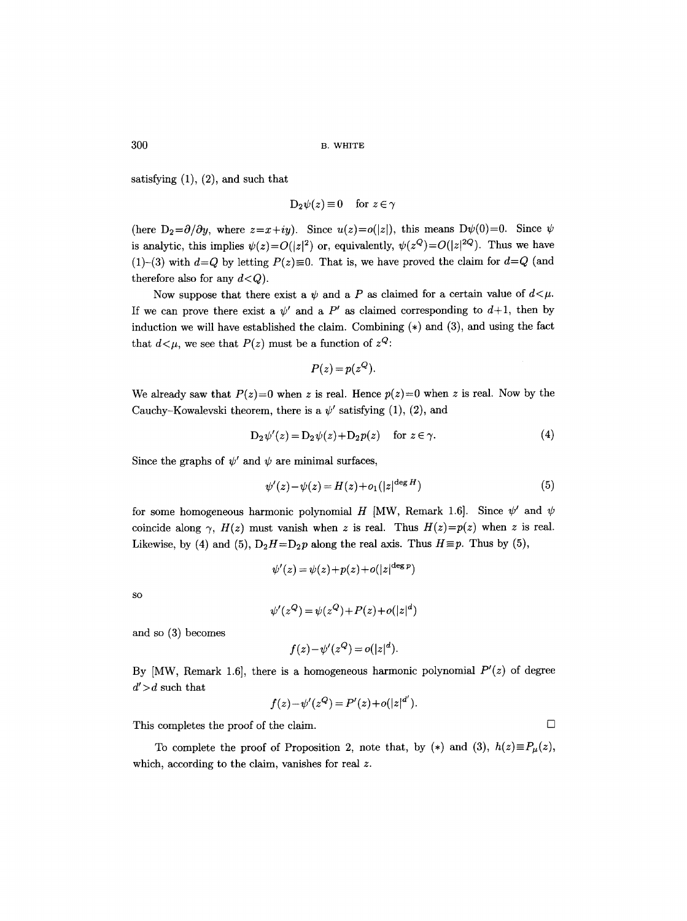satisfying (1), (2), and such that

$$
D_2\psi(z) \equiv 0 \quad \text{for } z \in \gamma
$$

(here  $D_2 = \partial/\partial y$ , where  $z = x + iy$ ). Since  $u(z) = o(|z|)$ , this means  $D\psi(0) = 0$ . Since  $\psi$ is analytic, this implies  $\psi(z) = O(|z|^2)$  or, equivalently,  $\psi(z^Q) = O(|z|^2)$ . Thus we have (1)-(3) with  $d=Q$  by letting  $P(z)\equiv 0$ . That is, we have proved the claim for  $d=Q$  (and therefore also for any  $d < Q$ ).

Now suppose that there exist a  $\psi$  and a P as claimed for a certain value of  $d \leq \mu$ . If we can prove there exist a  $\psi'$  and a P' as claimed corresponding to  $d+1$ , then by induction we will have established the claim. Combining  $(*)$  and  $(3)$ , and using the fact that  $d < \mu$ , we see that  $P(z)$  must be a function of  $z^Q$ :

$$
P(z)=p(z^Q).
$$

We already saw that  $P(z)=0$  when z is real. Hence  $p(z)=0$  when z is real. Now by the Cauchy-Kowalevski theorem, there is a  $\psi'$  satisfying (1), (2), and

$$
D_2\psi'(z) = D_2\psi(z) + D_2p(z) \quad \text{for } z \in \gamma.
$$
 (4)

Since the graphs of  $\psi'$  and  $\psi$  are minimal surfaces,

$$
\psi'(z) - \psi(z) = H(z) + o_1(|z|^{\deg H})\tag{5}
$$

for some homogeneous harmonic polynomial H [MW, Remark 1.6]. Since  $\psi'$  and  $\psi$ coincide along  $\gamma$ ,  $H(z)$  must vanish when z is real. Thus  $H(z)=p(z)$  when z is real. Likewise, by (4) and (5),  $D_2H=D_2p$  along the real axis. Thus  $H\equiv p$ . Thus by (5),

$$
\psi'(z) = \psi(z) + p(z) + o(|z|^{\deg p})
$$

SO

$$
\psi'(z^Q) = \psi(z^Q) + P(z) + o(|z|^d)
$$

and so (3) becomes

$$
f(z)-\psi'(z^Q)=o(|z|^d).
$$

By  $[MW,$  Remark 1.6, there is a homogeneous harmonic polynomial  $P'(z)$  of degree  $d'$  > d such that

$$
f(z) - \psi'(z^{Q}) = P'(z) + o(|z|^{d'})
$$

This completes the proof of the claim.  $\Box$ 

To complete the proof of Proposition 2, note that, by (\*) and (3),  $h(z) \equiv P_{\mu}(z)$ , which, according to the claim, vanishes for real z.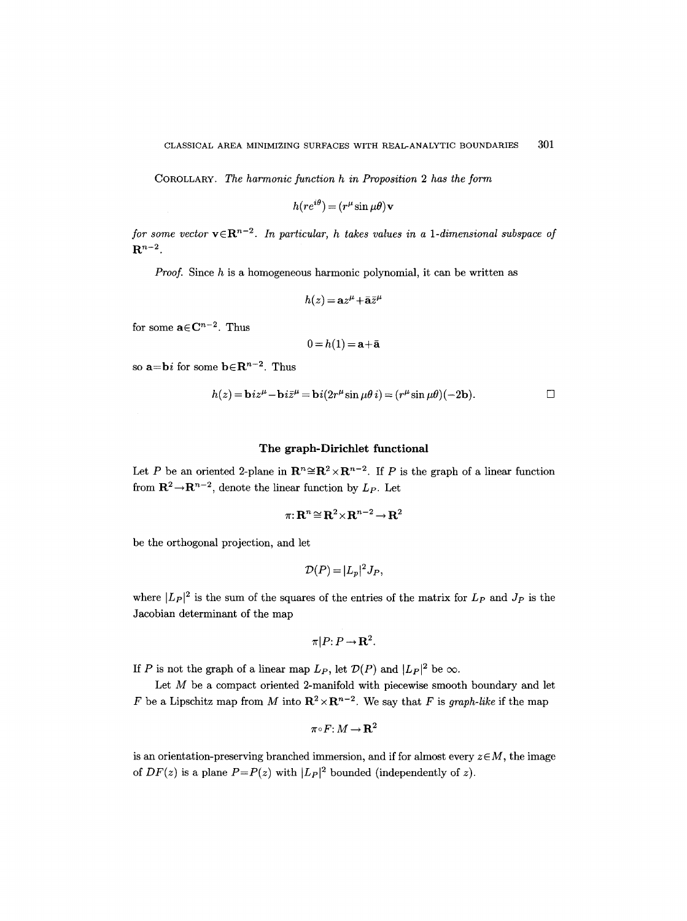COROLLARY. *The harmonic function h in Proposition 2 has the form* 

$$
h(re^{i\theta}) = (r^{\mu}\sin{\mu\theta})\mathbf{v}
$$

for some vector  $\mathbf{v} \in \mathbb{R}^{n-2}$ . In particular, h takes values in a 1-dimensional subspace of  $\mathbf{R}^{n-2}$ .

*Proof.*  Since h is a homogeneous harmonic polynomial, it can be written as

$$
h(z) = \mathbf{a}z^{\mu} + \bar{\mathbf{a}}\bar{z}^{\mu}
$$

for some  $\mathbf{a} \in \mathbb{C}^{n-2}$ . Thus

$$
0\,{=}\,h(1)\,{=}\,\mathbf{a}{+}\bar{\mathbf{a}}
$$

so  $\mathbf{a} = \mathbf{b}i$  for some  $\mathbf{b} \in \mathbb{R}^{n-2}$ . Thus

$$
h(z) = \mathbf{b}iz^{\mu} - \mathbf{b}i\bar{z}^{\mu} = \mathbf{b}i(2r^{\mu}\sin\mu\theta i) = (r^{\mu}\sin\mu\theta)(-2\mathbf{b}).
$$

# **The graph-Dirichlet functional**

Let P be an oriented 2-plane in  $\mathbb{R}^n \cong \mathbb{R}^2 \times \mathbb{R}^{n-2}$ . If P is the graph of a linear function from  $\mathbb{R}^2 \to \mathbb{R}^{n-2}$ , denote the linear function by  $L_P$ . Let

$$
\pi: \mathbf{R}^n \cong \mathbf{R}^2 \times \mathbf{R}^{n-2} \to \mathbf{R}^2
$$

be the orthogonal projection, and let

$$
\mathcal{D}(P)=|L_p|^2J_P,
$$

where  $|L_P|^2$  is the sum of the squares of the entries of the matrix for  $L_P$  and  $J_P$  is the Jacobian determinant of the map

$$
\pi | P \colon P \to \mathbf{R}^2.
$$

If P is not the graph of a linear map  $L_P$ , let  $\mathcal{D}(P)$  and  $|L_P|^2$  be  $\infty$ .

Let  $M$  be a compact oriented 2-manifold with piecewise smooth boundary and let F be a Lipschitz map from M into  $\mathbb{R}^2 \times \mathbb{R}^{n-2}$ . We say that F is *graph-like* if the map

$$
\pi\!\circ\!F\!: \!M\!\to\!{\bf R}^2
$$

is an orientation-preserving branched immersion, and if for almost every  $z \in M$ , the image of  $DF(z)$  is a plane  $P=P(z)$  with  $|L_P|^2$  bounded (independently of z).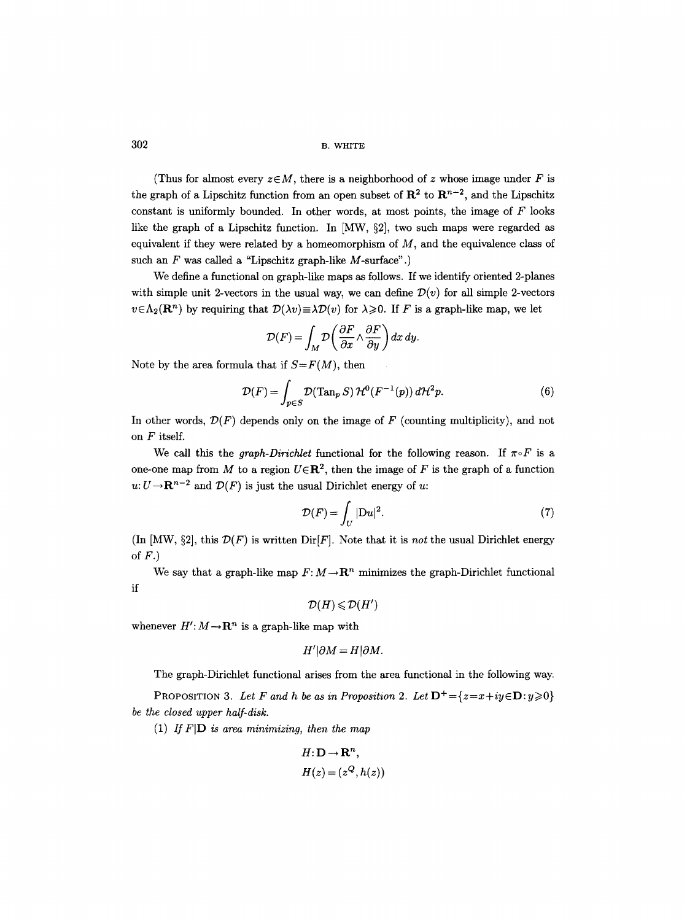(Thus for almost every  $z \in M$ , there is a neighborhood of z whose image under F is the graph of a Lipschitz function from an open subset of  $\mathbb{R}^2$  to  $\mathbb{R}^{n-2}$ , and the Lipschitz constant is uniformly bounded. In other words, at most points, the image of  $F$  looks like the graph of a Lipschitz function. In  $\text{[MW, §2]}$ , two such maps were regarded as equivalent if they were related by a homeomorphism of  $M$ , and the equivalence class of such an  $F$  was called a "Lipschitz graph-like  $M$ -surface".)

We define a functional on graph-like maps as follows. If we identify oriented 2-planes with simple unit 2-vectors in the usual way, we can define  $\mathcal{D}(v)$  for all simple 2-vectors  $v \in \Lambda_2(\mathbf{R}^n)$  by requiring that  $\mathcal{D}(\lambda v) \equiv \lambda \mathcal{D}(v)$  for  $\lambda \geq 0$ . If F is a graph-like map, we let

$$
\mathcal{D}(F) = \int_M \mathcal{D}\left(\frac{\partial F}{\partial x} \wedge \frac{\partial F}{\partial y}\right) dx dy.
$$

Note by the area formula that if  $S = F(M)$ , then

$$
\mathcal{D}(F) = \int_{p \in S} \mathcal{D}(\text{Tan}_p S) \, \mathcal{H}^0(F^{-1}(p)) \, d\mathcal{H}^2 p. \tag{6}
$$

In other words,  $\mathcal{D}(F)$  depends only on the image of F (counting multiplicity), and not on F itself.

We call this the *graph-Dirichlet* functional for the following reason. If  $\pi \circ F$  is a one-one map from M to a region  $U \in \mathbb{R}^2$ , then the image of F is the graph of a function  $u: U \to \mathbf{R}^{n-2}$  and  $\mathcal{D}(F)$  is just the usual Dirichlet energy of u:

$$
\mathcal{D}(F) = \int_{U} |\mathcal{D}u|^2. \tag{7}
$$

(In  $[MW, §2]$ , this  $\mathcal{D}(F)$  is written  $Dir[F]$ . Note that it is *not* the usual Dirichlet energy of  $F.$ )

We say that a graph-like map  $F: M \to \mathbb{R}^n$  minimizes the graph-Dirichlet functional if

$$
\mathcal{D}(H) \leq \mathcal{D}(H')
$$

whenever  $H' : M \rightarrow \mathbb{R}^n$  is a graph-like map with

$$
H'|\partial M = H|\partial M.
$$

The graph-Dirichlet functional arises from the area functional in the following way.

PROPOSITION 3. Let F and h be as in Proposition 2. Let  $\mathbf{D}^+=\{z=x+iy\in \mathbf{D}:y\geqslant 0\}$ *be the closed upper half-disk.* 

(1) If  $F[D]$  is area minimizing, then the map

$$
H: \mathbf{D} \to \mathbf{R}^n,
$$
  

$$
H(z) = (z^Q, h(z))
$$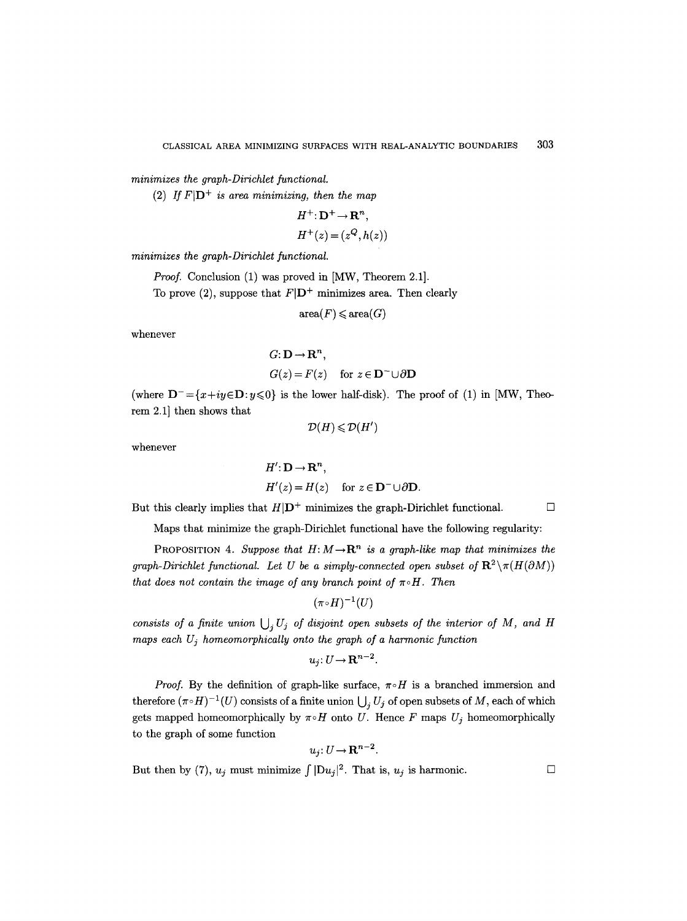*minimizes the graph-Dirichlet functional.* 

(2) If  $F|\mathbf{D}^+$  is area minimizing, then the map

$$
H^+ : \mathbf{D}^+ \to \mathbf{R}^n,
$$
  

$$
H^+(z) = (z^Q, h(z))
$$

*minimizes the graph-Dirichlet functional.* 

*Proof.* Conclusion (1) was proved in [MW, Theorem 2.1].

To prove (2), suppose that  $F|\mathbf{D}^+$  minimizes area. Then clearly

 $area(F) \leqslant area(G)$ 

whenever

$$
G: \mathbf{D} \to \mathbf{R}^n,
$$
  

$$
G(z) = F(z) \quad \text{for } z \in \mathbf{D}^- \cup \partial \mathbf{D}
$$

(where  $D^- = \{x+iy \in D : y \le 0\}$  is the lower half-disk). The proof of (1) in [MW, Theorem 2.1] then shows that

$$
\mathcal{D}(H) \leqslant \mathcal{D}(H')
$$

whenever

$$
H': \mathbf{D} \to \mathbf{R}^n,
$$
  
\n
$$
H'(z) = H(z) \quad \text{for } z \in \mathbf{D}^- \cup \partial \mathbf{D}.
$$

But this clearly implies that  $H|\mathbf{D}^+$  minimizes the graph-Dirichlet functional.

Maps that minimize the graph-Dirichlet functional have the following regularity:

PROPOSITION 4. *Suppose that*  $H: M \to \mathbb{R}^n$  is a graph-like map that minimizes the *graph-Dirichlet functional. Let U be a simply-connected open subset of*  $\mathbb{R}^2 \setminus \pi(H(\partial M))$ *that does not contain the image of any branch point of*  $\pi \circ H$ . Then

$$
(\pi\!\circ\! H)^{-1}(U)
$$

*consists of a finite union*  $\bigcup_i U_j$  of *disjoint open subsets of the interior of M, and H maps each Uj homeomorphically onto the graph of a harmonic function* 

$$
u_j\colon U\to\mathbf{R}^{n-2}.
$$

*Proof.* By the definition of graph-like surface,  $\pi \circ H$  is a branched immersion and therefore  $(\pi \circ H)^{-1}(U)$  consists of a finite union  $\bigcup_i U_j$  of open subsets of M, each of which gets mapped homeomorphically by  $\pi \circ H$  onto U. Hence F maps  $U_j$  homeomorphically to the graph of some function

$$
u_j: U \to \mathbf{R}^{n-2}.
$$

But then by (7),  $u_j$  must minimize  $\int |Du_j|^2$ . That is,  $u_j$  is harmonic.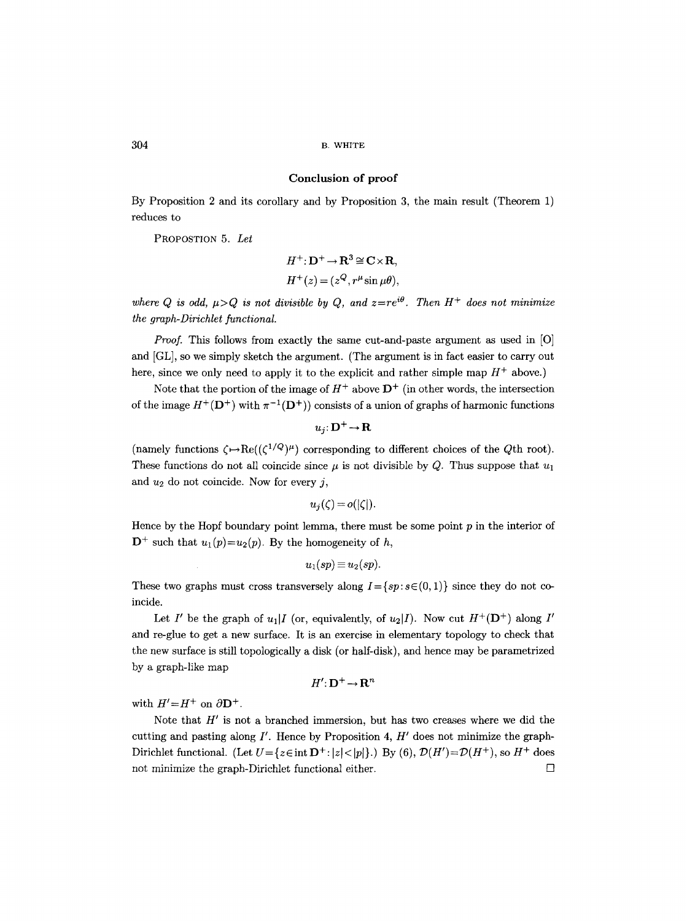#### **Conclusion of proof**

By Proposition 2 and its corollary and by Proposition 3, the main result (Theorem 1) reduces to

PROPOSTION 5. *Let* 

$$
H^{+}: \mathbf{D}^{+} \to \mathbf{R}^{3} \cong \mathbf{C} \times \mathbf{R},
$$
  

$$
H^{+}(z) = (z^{Q}, r^{\mu} \sin \mu \theta),
$$

where Q is odd,  $\mu > Q$  is not divisible by Q, and  $z = re^{i\theta}$ . Then  $H^+$  does not minimize *the graph-Dirichlet functional.* 

*Proof.* This follows from exactly the same cut-and-paste argument as used in [O] and [GL], so we simply sketch the argument. (The argument is in fact easier to carry out here, since we only need to apply it to the explicit and rather simple map  $H^+$  above.)

Note that the portion of the image of  $H^+$  above  $D^+$  (in other words, the intersection of the image  $H^+({\bf D}^+)$  with  $\pi^{-1}({\bf D}^+)$  consists of a union of graphs of harmonic functions

$$
u_j\colon\!{\mathbf{D}}^+\!\rightarrow\!{\mathbf{R}}
$$

(namely functions  $\zeta \mapsto \text{Re}((\zeta^{1/Q})^{\mu})$  corresponding to different choices of the Qth root). These functions do not all coincide since  $\mu$  is not divisible by Q. Thus suppose that  $u_1$ and  $u_2$  do not coincide. Now for every j,

$$
u_j(\zeta) = o(|\zeta|).
$$

Hence by the Hopf boundary point lemma, there must be some point  $p$  in the interior of  $D^+$  such that  $u_1(p)=u_2(p)$ . By the homogeneity of h,

$$
u_1(sp) \equiv u_2(sp).
$$

These two graphs must cross transversely along  $I = \{sp: s \in (0, 1)\}\$  since they do not coincide.

Let I' be the graph of  $u_1$  I (or, equivalently, of  $u_2$  I). Now cut  $H^+(\mathbf{D}^+)$  along I' and re-glue to get a new surface. It is an exercise in elementary topology to check that the new surface is still topologically a disk (or half-disk), and hence may be parametrized by a graph-like map

$$
H' \colon \mathbf{D}^+ \to \mathbf{R}^n
$$

with  $H' = H^+$  on  $\partial \mathbf{D}^+$ .

Note that  $H'$  is not a branched immersion, but has two creases where we did the cutting and pasting along  $I'$ . Hence by Proposition 4,  $H'$  does not minimize the graph-Dirichlet functional. (Let  $U = \{z \in \text{int } \mathbf{D}^+ : |z| < |p|\}$ .) By (6),  $\mathcal{D}(H') = \mathcal{D}(H^+)$ , so  $H^+$  does not minimize the graph-Dirichlet functional either.  $\Box$